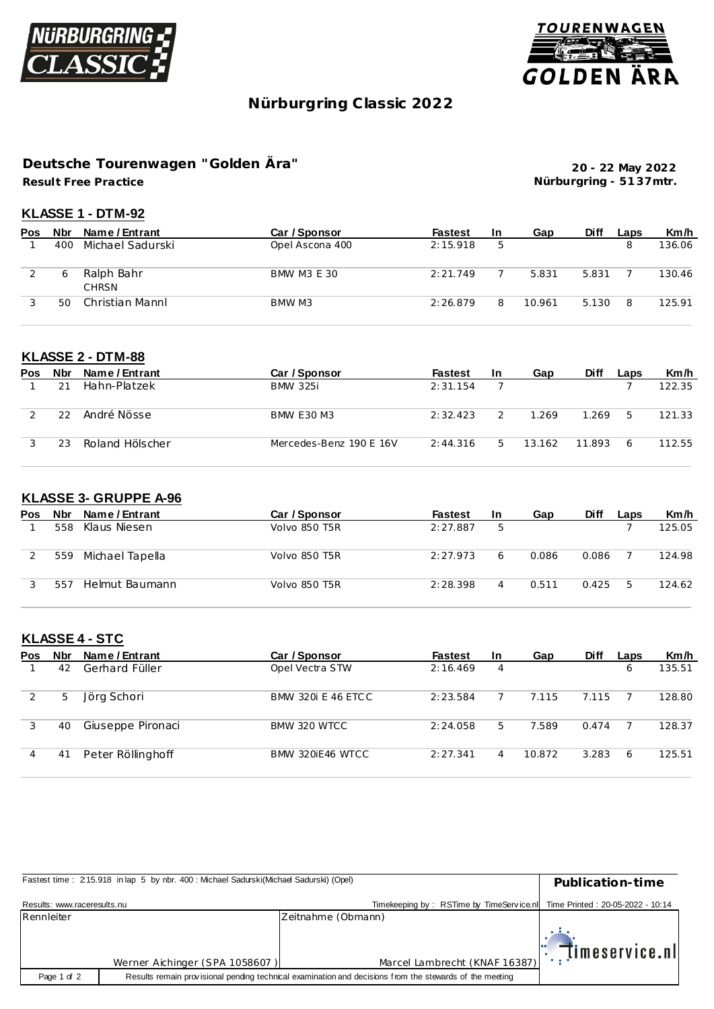



# **Nürburgring C lassic 2022**

### **Result Free Practice Deutsche Tourenwagen "Golden Ära"**

**20 - 22 May 2022 Nürburgring - 51 37mtr.**

#### **KLASSE 1 - DTM-92**

| Pos | Nbr | Name / Entrant             | Car / Sponsor      | <b>Fastest</b> | <b>In</b> | Gap    | <b>Diff</b> | Laps | Km/h   |
|-----|-----|----------------------------|--------------------|----------------|-----------|--------|-------------|------|--------|
|     | 400 | Michael Sadurski           | Opel Ascona 400    | 2:15.918       | 5         |        |             | 8    | 136.06 |
|     |     | Ralph Bahr<br><b>CHRSN</b> | <b>BMW M3 E 30</b> | 2:21.749       |           | 5.831  | 5.831       |      | 130.46 |
|     | 5C  | Christian Mannl            | BMW M3             | 2:26.879       | 8         | 10.961 | 5.130       | 8    | 125.91 |

#### **KLASSE 2 - DTM-88**

| Pos | <b>Nbr</b> | Name / Entrant  | Car / Sponsor           | <b>Fastest</b> | <b>In</b> | Gap    | <b>Diff</b> | Laps | Km/h   |
|-----|------------|-----------------|-------------------------|----------------|-----------|--------|-------------|------|--------|
|     |            | Hahn-Platzek    | <b>BMW 325i</b>         | 2:31.154       |           |        |             |      | 122.35 |
|     | 22         | André Nösse     | <b>BMW E30 M3</b>       | 2:32.423       |           | 1.269  | 1.269       | 5    | 121.33 |
|     | 23         | Roland Hölscher | Mercedes-Benz 190 E 16V | 2:44.316       | 5         | 13.162 | 11.893      | 6    | 112.55 |

#### **KLASSE 3- GRUPPE A-96**

| <b>Pos</b> | <b>Nbr</b> | Name / Entrant  | Car / Sponsor        | <b>Fastest</b> | <b>In</b> | Gap   | <b>Diff</b> | Laps | Km/h   |
|------------|------------|-----------------|----------------------|----------------|-----------|-------|-------------|------|--------|
|            | 558        | Klaus Niesen    | Volvo 850 T5R        | 2:27.887       | 5         |       |             |      | 125.05 |
|            | 559        | Michael Tapella | <b>Volvo 850 T5R</b> | 2:27.973       | 6         | 0.086 | 0.086       |      | 124.98 |
|            | 557        | Helmut Baumann  | Volvo 850 T5R        | 2:28.398       |           | 0.511 | 0.425       | -5   | 124.62 |

# **KLASSE 4 - STC**

| <b>Pos</b> | <b>Nbr</b> | Name / Entrant    | Car / Sponsor             | <b>Fastest</b> | <b>In</b> | Gap    | <b>Diff</b> | Laps | Km/h   |
|------------|------------|-------------------|---------------------------|----------------|-----------|--------|-------------|------|--------|
|            | 42         | Gerhard Füller    | Opel Vectra STW           | 2:16.469       | 4         |        |             | 6    | 135.51 |
| 2          | 5          | Jörg Schori       | <b>BMW 320i E 46 ETCC</b> | 2:23.584       |           | 7.115  | 7.115       |      | 128.80 |
|            | 40         | Giuseppe Pironaci | BMW 320 WTCC              | 2:24.058       | 5         | 7.589  | 0.474       |      | 128.37 |
|            | 41         | Peter Röllinghoff | BMW 320 F46 WTCC          | 2:27.341       | 4         | 10.872 | 3.283       | 6    | 125.51 |

| Fastest time: 215.918 in lap 5 by nbr. 400: Michael Sadurski(Michael Sadurski) (Opel) | Publication-time               |                                                                           |                               |
|---------------------------------------------------------------------------------------|--------------------------------|---------------------------------------------------------------------------|-------------------------------|
| Results: www.raceresults.nu                                                           |                                | Timekeeping by: RSTime by TimeService.nl Time Printed: 20-05-2022 - 10:14 |                               |
| Rennleiter                                                                            |                                | Zeitnahme (Obmann)                                                        |                               |
|                                                                                       |                                |                                                                           | $\mathbb{T}$ . Timeservice.nl |
|                                                                                       | Werner Aichinger (SPA 1058607) | Marcel Lambrecht (KNAF 16387)                                             |                               |
| Page 1 of 2                                                                           |                                |                                                                           |                               |